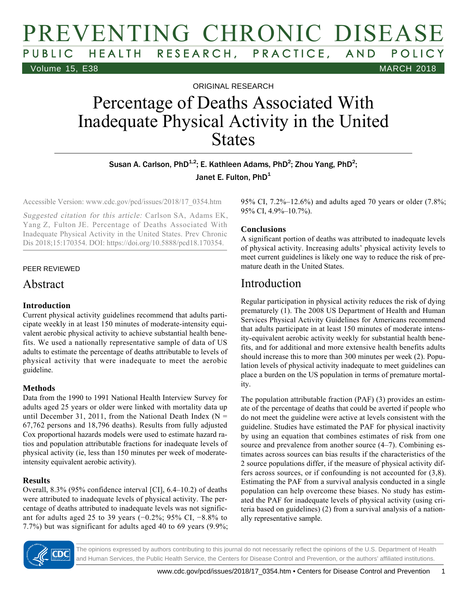# PREVENTING CHRONIC DISEASE PUBLIC HEALTH RESEARCH, PRACTICE, AND POLICY Volume 15, E38 MARCH 2018

ORIGINAL RESEARCH

# Percentage of Deaths Associated With Inadequate Physical Activity in the United States

### Susan A. Carlson, PhD $^{1,2}$ ; E. Kathleen Adams, PhD $^{2}$ ; Zhou Yang, PhD $^{2}$ ; Janet E. Fulton, PhD<sup>1</sup>

Accessible Version: www.cdc.gov/pcd/issues/2018/17\_0354.htm

Suggested citation for this article: Carlson SA, Adams EK, Yang Z, Fulton JE. Percentage of Deaths Associated With Inadequate Physical Activity in the United States. Prev Chronic Dis 2018;15:170354. DOI: https://doi.org/10.5888/pcd18.170354.

#### PEER REVIEWED

### Abstract

### **Introduction**

Current physical activity guidelines recommend that adults participate weekly in at least 150 minutes of moderate-intensity equivalent aerobic physical activity to achieve substantial health benefits. We used a nationally representative sample of data of US adults to estimate the percentage of deaths attributable to levels of physical activity that were inadequate to meet the aerobic guideline.

#### **Methods**

Data from the 1990 to 1991 National Health Interview Survey for adults aged 25 years or older were linked with mortality data up until December 31, 2011, from the National Death Index ( $N =$ 67,762 persons and 18,796 deaths). Results from fully adjusted Cox proportional hazards models were used to estimate hazard ratios and population attributable fractions for inadequate levels of physical activity (ie, less than 150 minutes per week of moderateintensity equivalent aerobic activity).

### **Results**

Overall, 8.3% (95% confidence interval [CI], 6.4–10.2) of deaths were attributed to inadequate levels of physical activity. The percentage of deaths attributed to inadequate levels was not significant for adults aged 25 to 39 years (−0.2%; 95% CI, −8.8% to 7.7%) but was significant for adults aged 40 to 69 years (9.9%; 95% CI, 7.2%–12.6%) and adults aged 70 years or older (7.8%; 95% CI, 4.9%–10.7%).

#### **Conclusions**

A significant portion of deaths was attributed to inadequate levels of physical activity. Increasing adults' physical activity levels to meet current guidelines is likely one way to reduce the risk of premature death in the United States.

## Introduction

Regular participation in physical activity reduces the risk of dying prematurely (1). The 2008 US Department of Health and Human Services Physical Activity Guidelines for Americans recommend that adults participate in at least 150 minutes of moderate intensity-equivalent aerobic activity weekly for substantial health benefits, and for additional and more extensive health benefits adults should increase this to more than 300 minutes per week (2). Population levels of physical activity inadequate to meet guidelines can place a burden on the US population in terms of premature mortality.

The population attributable fraction (PAF) (3) provides an estimate of the percentage of deaths that could be averted if people who do not meet the guideline were active at levels consistent with the guideline. Studies have estimated the PAF for physical inactivity by using an equation that combines estimates of risk from one source and prevalence from another source (4–7). Combining estimates across sources can bias results if the characteristics of the 2 source populations differ, if the measure of physical activity differs across sources, or if confounding is not accounted for (3,8). Estimating the PAF from a survival analysis conducted in a single population can help overcome these biases. No study has estimated the PAF for inadequate levels of physical activity (using criteria based on guidelines) (2) from a survival analysis of a nationally representative sample.

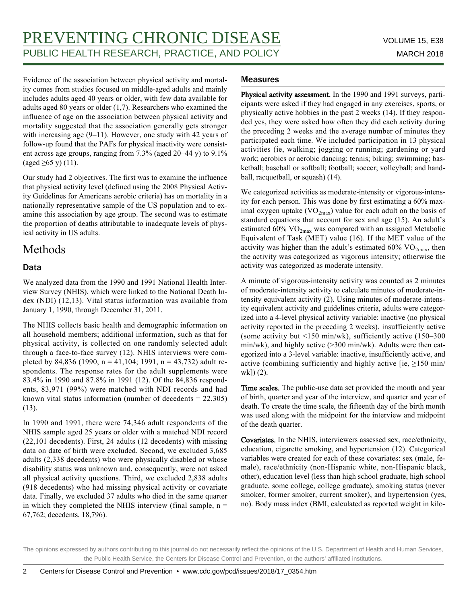Evidence of the association between physical activity and mortality comes from studies focused on middle-aged adults and mainly includes adults aged 40 years or older, with few data available for adults aged 80 years or older (1,7). Researchers who examined the influence of age on the association between physical activity and mortality suggested that the association generally gets stronger with increasing age (9–11). However, one study with 42 years of follow-up found that the PAFs for physical inactivity were consistent across age groups, ranging from 7.3% (aged 20–44 y) to 9.1% (aged ≥65 y) (11).

Our study had 2 objectives. The first was to examine the influence that physical activity level (defined using the 2008 Physical Activity Guidelines for Americans aerobic criteria) has on mortality in a nationally representative sample of the US population and to examine this association by age group. The second was to estimate the proportion of deaths attributable to inadequate levels of physical activity in US adults.

# Methods

### Data

We analyzed data from the 1990 and 1991 National Health Interview Survey (NHIS), which were linked to the National Death Index (NDI) (12,13). Vital status information was available from January 1, 1990, through December 31, 2011.

The NHIS collects basic health and demographic information on all household members; additional information, such as that for physical activity, is collected on one randomly selected adult through a face-to-face survey (12). NHIS interviews were completed by 84,836 (1990,  $n = 41,104$ ; 1991,  $n = 43,732$ ) adult respondents. The response rates for the adult supplements were 83.4% in 1990 and 87.8% in 1991 (12). Of the 84,836 respondents, 83,971 (99%) were matched with NDI records and had known vital status information (number of decedents  $= 22,305$ ) (13).

In 1990 and 1991, there were 74,346 adult respondents of the NHIS sample aged 25 years or older with a matched NDI record (22,101 decedents). First, 24 adults (12 decedents) with missing data on date of birth were excluded. Second, we excluded 3,685 adults (2,338 decedents) who were physically disabled or whose disability status was unknown and, consequently, were not asked all physical activity questions. Third, we excluded 2,838 adults (918 decedents) who had missing physical activity or covariate data. Finally, we excluded 37 adults who died in the same quarter in which they completed the NHIS interview (final sample,  $n =$ 67,762; decedents, 18,796).

#### Measures

Physical activity assessment. In the 1990 and 1991 surveys, participants were asked if they had engaged in any exercises, sports, or physically active hobbies in the past 2 weeks (14). If they responded yes, they were asked how often they did each activity during the preceding 2 weeks and the average number of minutes they participated each time. We included participation in 13 physical activities (ie, walking; jogging or running; gardening or yard work; aerobics or aerobic dancing; tennis; biking; swimming; basketball; baseball or softball; football; soccer; volleyball; and handball, racquetball, or squash) (14).

We categorized activities as moderate-intensity or vigorous-intensity for each person. This was done by first estimating a 60% maximal oxygen uptake  $(VO_{2max})$  value for each adult on the basis of standard equations that account for sex and age (15). An adult's estimated  $60\%$  VO<sub>2max</sub> was compared with an assigned Metabolic Equivalent of Task (MET) value (16). If the MET value of the activity was higher than the adult's estimated  $60\%$  VO<sub>2max</sub>, then the activity was categorized as vigorous intensity; otherwise the activity was categorized as moderate intensity.

A minute of vigorous-intensity activity was counted as 2 minutes of moderate-intensity activity to calculate minutes of moderate-intensity equivalent activity (2). Using minutes of moderate-intensity equivalent activity and guidelines criteria, adults were categorized into a 4-level physical activity variable: inactive (no physical activity reported in the preceding 2 weeks), insufficiently active (some activity but <150 min/wk), sufficiently active (150–300 min/wk), and highly active (>300 min/wk). Adults were then categorized into a 3-level variable: inactive, insufficiently active, and active (combining sufficiently and highly active [ie,  $\geq$ 150 min/ wk]) (2).

Time scales. The public-use data set provided the month and year of birth, quarter and year of the interview, and quarter and year of death. To create the time scale, the fifteenth day of the birth month was used along with the midpoint for the interview and midpoint of the death quarter.

Covariates. In the NHIS, interviewers assessed sex, race/ethnicity, education, cigarette smoking, and hypertension (12). Categorical variables were created for each of these covariates: sex (male, female), race/ethnicity (non-Hispanic white, non-Hispanic black, other), education level (less than high school graduate, high school graduate, some college, college graduate), smoking status (never smoker, former smoker, current smoker), and hypertension (yes, no). Body mass index (BMI, calculated as reported weight in kilo-

The opinions expressed by authors contributing to this journal do not necessarily reflect the opinions of the U.S. Department of Health and Human Services, the Public Health Service, the Centers for Disease Control and Prevention, or the authors' affiliated institutions.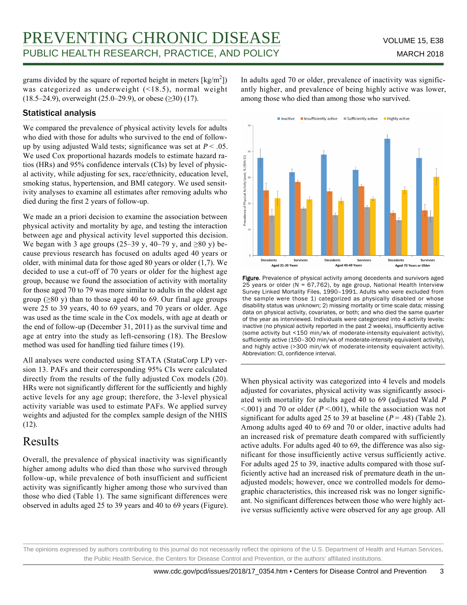grams divided by the square of reported height in meters  $[kg/m^2]$ ) was categorized as underweight (<18.5), normal weight  $(18.5–24.9)$ , overweight  $(25.0–29.9)$ , or obese  $(≥30)$   $(17)$ .

#### Statistical analysis

We compared the prevalence of physical activity levels for adults who died with those for adults who survived to the end of followup by using adjusted Wald tests; significance was set at  $P < .05$ . We used Cox proportional hazards models to estimate hazard ratios (HRs) and 95% confidence intervals (CIs) by level of physical activity, while adjusting for sex, race/ethnicity, education level, smoking status, hypertension, and BMI category. We used sensitivity analyses to examine all estimates after removing adults who died during the first 2 years of follow-up.

We made an a priori decision to examine the association between physical activity and mortality by age, and testing the interaction between age and physical activity level supported this decision. We began with 3 age groups (25–39 y, 40–79 y, and  $\geq 80$  y) because previous research has focused on adults aged 40 years or older, with minimal data for those aged 80 years or older (1,7). We decided to use a cut-off of 70 years or older for the highest age group, because we found the association of activity with mortality for those aged 70 to 79 was more similar to adults in the oldest age group ( $\geq 80$  y) than to those aged 40 to 69. Our final age groups were 25 to 39 years, 40 to 69 years, and 70 years or older. Age was used as the time scale in the Cox models, with age at death or the end of follow-up (December 31, 2011) as the survival time and age at entry into the study as left-censoring (18). The Breslow method was used for handling tied failure times (19).

All analyses were conducted using STATA (StataCorp LP) version 13. PAFs and their corresponding 95% CIs were calculated directly from the results of the fully adjusted Cox models (20). HRs were not significantly different for the sufficiently and highly active levels for any age group; therefore, the 3-level physical activity variable was used to estimate PAFs. We applied survey weights and adjusted for the complex sample design of the NHIS (12).

### Results

Overall, the prevalence of physical inactivity was significantly higher among adults who died than those who survived through follow-up, while prevalence of both insufficient and sufficient activity was significantly higher among those who survived than those who died (Table 1). The same significant differences were observed in adults aged 25 to 39 years and 40 to 69 years (Figure). In adults aged 70 or older, prevalence of inactivity was significantly higher, and prevalence of being highly active was lower, among those who died than among those who survived.



Figure. Prevalence of physical activity among decedents and survivors aged 25 years or older ( $N = 67,762$ ), by age group, National Health Interview Survey Linked Mortality Files, 1990–1991. Adults who were excluded from the sample were those 1) categorized as physically disabled or whose disability status was unknown; 2) missing mortality or time scale data; missing data on physical activity, covariates, or both; and who died the same quarter of the year as interviewed. Individuals were categorized into 4 activity levels: inactive (no physical activity reported in the past 2 weeks), insufficiently active (some activity but <150 min/wk of moderate-intensity equivalent activity), sufficiently active (150–300 min/wk of moderate-intensity equivalent activity), and highly active (>300 min/wk of moderate-intensity equivalent activity). Abbreviation: CI, confidence interval.

When physical activity was categorized into 4 levels and models adjusted for covariates, physical activity was significantly associated with mortality for adults aged 40 to 69 (adjusted Wald <sup>P</sup>  $\leq$ .001) and 70 or older ( $P \leq$ .001), while the association was not significant for adults aged 25 to 39 at baseline ( $P = .48$ ) (Table 2). Among adults aged 40 to 69 and 70 or older, inactive adults had an increased risk of premature death compared with sufficiently active adults. For adults aged 40 to 69, the difference was also significant for those insufficiently active versus sufficiently active. For adults aged 25 to 39, inactive adults compared with those sufficiently active had an increased risk of premature death in the unadjusted models; however, once we controlled models for demographic characteristics, this increased risk was no longer significant. No significant differences between those who were highly active versus sufficiently active were observed for any age group. All

The opinions expressed by authors contributing to this journal do not necessarily reflect the opinions of the U.S. Department of Health and Human Services, the Public Health Service, the Centers for Disease Control and Prevention, or the authors' affiliated institutions.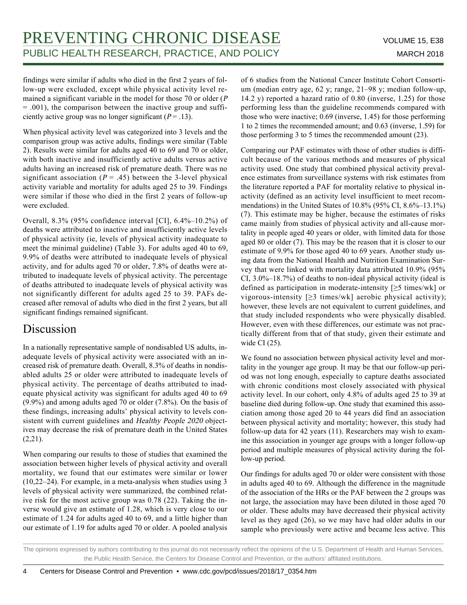findings were similar if adults who died in the first 2 years of follow-up were excluded, except while physical activity level remained a significant variable in the model for those 70 or older (<sup>P</sup> = .001), the comparison between the inactive group and sufficiently active group was no longer significant ( $P = .13$ ).

When physical activity level was categorized into 3 levels and the comparison group was active adults, findings were similar (Table 2). Results were similar for adults aged 40 to 69 and 70 or older, with both inactive and insufficiently active adults versus active adults having an increased risk of premature death. There was no significant association ( $P = .45$ ) between the 3-level physical activity variable and mortality for adults aged 25 to 39. Findings were similar if those who died in the first 2 years of follow-up were excluded.

Overall, 8.3% (95% confidence interval [CI], 6.4%–10.2%) of deaths were attributed to inactive and insufficiently active levels of physical activity (ie, levels of physical activity inadequate to meet the minimal guideline) (Table 3). For adults aged 40 to 69, 9.9% of deaths were attributed to inadequate levels of physical activity, and for adults aged 70 or older, 7.8% of deaths were attributed to inadequate levels of physical activity. The percentage of deaths attributed to inadequate levels of physical activity was not significantly different for adults aged 25 to 39. PAFs decreased after removal of adults who died in the first 2 years, but all significant findings remained significant.

## Discussion

In a nationally representative sample of nondisabled US adults, inadequate levels of physical activity were associated with an increased risk of premature death. Overall, 8.3% of deaths in nondisabled adults 25 or older were attributed to inadequate levels of physical activity. The percentage of deaths attributed to inadequate physical activity was significant for adults aged 40 to 69 (9.9%) and among adults aged 70 or older (7.8%). On the basis of these findings, increasing adults' physical activity to levels consistent with current guidelines and Healthy People 2020 objectives may decrease the risk of premature death in the United States (2,21).

When comparing our results to those of studies that examined the association between higher levels of physical activity and overall mortality, we found that our estimates were similar or lower (10,22–24). For example, in a meta-analysis when studies using 3 levels of physical activity were summarized, the combined relative risk for the most active group was 0.78 (22). Taking the inverse would give an estimate of 1.28, which is very close to our estimate of 1.24 for adults aged 40 to 69, and a little higher than our estimate of 1.19 for adults aged 70 or older. A pooled analysis of 6 studies from the National Cancer Institute Cohort Consortium (median entry age, 62 y; range, 21–98 y; median follow-up, 14.2 y) reported a hazard ratio of 0.80 (inverse, 1.25) for those performing less than the guideline recommends compared with those who were inactive; 0.69 (inverse, 1.45) for those performing 1 to 2 times the recommended amount; and 0.63 (inverse, 1.59) for those performing 3 to 5 times the recommended amount (23).

Comparing our PAF estimates with those of other studies is difficult because of the various methods and measures of physical activity used. One study that combined physical activity prevalence estimates from surveillance systems with risk estimates from the literature reported a PAF for mortality relative to physical inactivity (defined as an activity level insufficient to meet recommendations) in the United States of 10.8% (95% CI, 8.6%–13.1%) (7). This estimate may be higher, because the estimates of risks came mainly from studies of physical activity and all-cause mortality in people aged 40 years or older, with limited data for those aged 80 or older (7). This may be the reason that it is closer to our estimate of 9.9% for those aged 40 to 69 years. Another study using data from the National Health and Nutrition Examination Survey that were linked with mortality data attributed 10.9% (95% CI, 3.0%–18.7%) of deaths to non-ideal physical activity (ideal is defined as participation in moderate-intensity [≥5 times/wk] or vigorous-intensity  $[≥3$  times/wk] aerobic physical activity); however, these levels are not equivalent to current guidelines, and that study included respondents who were physically disabled. However, even with these differences, our estimate was not practically different from that of that study, given their estimate and wide CI (25).

We found no association between physical activity level and mortality in the younger age group. It may be that our follow-up period was not long enough, especially to capture deaths associated with chronic conditions most closely associated with physical activity level. In our cohort, only 4.8% of adults aged 25 to 39 at baseline died during follow-up. One study that examined this association among those aged 20 to 44 years did find an association between physical activity and mortality; however, this study had follow-up data for 42 years (11). Researchers may wish to examine this association in younger age groups with a longer follow-up period and multiple measures of physical activity during the follow-up period.

Our findings for adults aged 70 or older were consistent with those in adults aged 40 to 69. Although the difference in the magnitude of the association of the HRs or the PAF between the 2 groups was not large, the association may have been diluted in those aged 70 or older. These adults may have decreased their physical activity level as they aged (26), so we may have had older adults in our sample who previously were active and became less active. This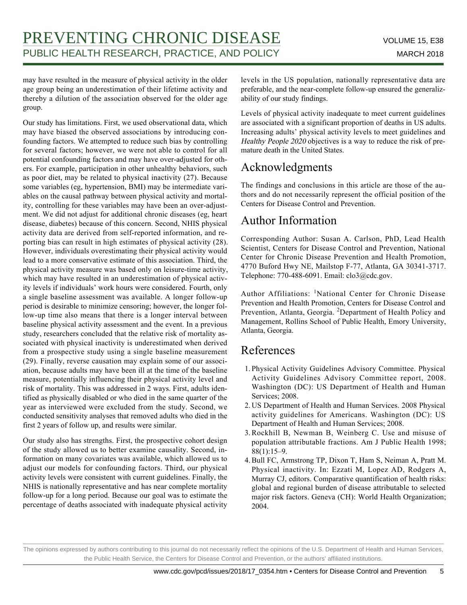may have resulted in the measure of physical activity in the older age group being an underestimation of their lifetime activity and thereby a dilution of the association observed for the older age group.

Our study has limitations. First, we used observational data, which may have biased the observed associations by introducing confounding factors. We attempted to reduce such bias by controlling for several factors; however, we were not able to control for all potential confounding factors and may have over-adjusted for others. For example, participation in other unhealthy behaviors, such as poor diet, may be related to physical inactivity (27). Because some variables (eg, hypertension, BMI) may be intermediate variables on the causal pathway between physical activity and mortality, controlling for these variables may have been an over-adjustment. We did not adjust for additional chronic diseases (eg, heart disease, diabetes) because of this concern. Second, NHIS physical activity data are derived from self-reported information, and reporting bias can result in high estimates of physical activity (28). However, individuals overestimating their physical activity would lead to a more conservative estimate of this association. Third, the physical activity measure was based only on leisure-time activity, which may have resulted in an underestimation of physical activity levels if individuals' work hours were considered. Fourth, only a single baseline assessment was available. A longer follow-up period is desirable to minimize censoring; however, the longer follow-up time also means that there is a longer interval between baseline physical activity assessment and the event. In a previous study, researchers concluded that the relative risk of mortality associated with physical inactivity is underestimated when derived from a prospective study using a single baseline measurement (29). Finally, reverse causation may explain some of our association, because adults may have been ill at the time of the baseline measure, potentially influencing their physical activity level and risk of mortality. This was addressed in 2 ways. First, adults identified as physically disabled or who died in the same quarter of the year as interviewed were excluded from the study. Second, we conducted sensitivity analyses that removed adults who died in the first 2 years of follow up, and results were similar.

Our study also has strengths. First, the prospective cohort design of the study allowed us to better examine causality. Second, information on many covariates was available, which allowed us to adjust our models for confounding factors. Third, our physical activity levels were consistent with current guidelines. Finally, the NHIS is nationally representative and has near complete mortality follow-up for a long period. Because our goal was to estimate the percentage of deaths associated with inadequate physical activity levels in the US population, nationally representative data are preferable, and the near-complete follow-up ensured the generalizability of our study findings.

Levels of physical activity inadequate to meet current guidelines are associated with a significant proportion of deaths in US adults. Increasing adults' physical activity levels to meet guidelines and Healthy People 2020 objectives is a way to reduce the risk of premature death in the United States.

# Acknowledgments

The findings and conclusions in this article are those of the authors and do not necessarily represent the official position of the Centers for Disease Control and Prevention.

# Author Information

Corresponding Author: Susan A. Carlson, PhD, Lead Health Scientist, Centers for Disease Control and Prevention, National Center for Chronic Disease Prevention and Health Promotion, 4770 Buford Hwy NE, Mailstop F-77, Atlanta, GA 30341-3717. Telephone: 770-488-6091. Email: clo3@cdc.gov.

Author Affiliations: <sup>1</sup>National Center for Chronic Disease Prevention and Health Promotion, Centers for Disease Control and Prevention, Atlanta, Georgia. <sup>2</sup>Department of Health Policy and Management, Rollins School of Public Health, Emory University, Atlanta, Georgia.

# References

- 1. Physical Activity Guidelines Advisory Committee. Physical Activity Guidelines Advisory Committee report, 2008. Washington (DC): US Department of Health and Human Services; 2008.
- 2. US Department of Health and Human Services. 2008 Physical activity guidelines for Americans. Washington (DC): US Department of Health and Human Services; 2008.
- 3. Rockhill B, Newman B, Weinberg C. Use and misuse of population attributable fractions. Am J Public Health 1998; 88(1):15–9.
- 4. Bull FC, Armstrong TP, Dixon T, Ham S, Neiman A, Pratt M. Physical inactivity. In: Ezzati M, Lopez AD, Rodgers A, Murray CJ, editors. Comparative quantification of health risks: global and regional burden of disease attributable to selected major risk factors. Geneva (CH): World Health Organization; 2004.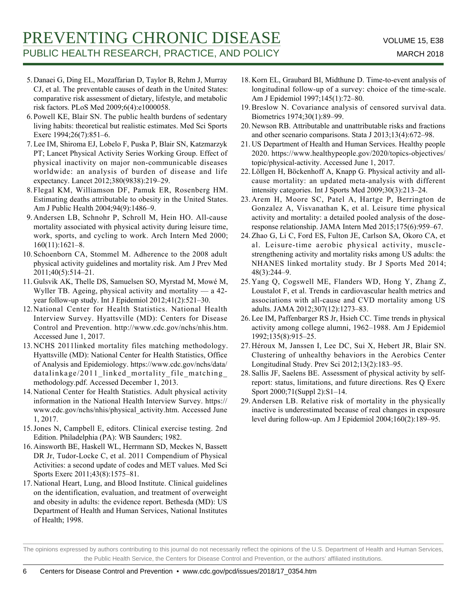# PREVENTING CHRONIC DISEASE VOLUME 15, E38 PUBLIC HEALTH RESEARCH, PRACTICE, AND POLICY MARCH 2018

- 5. Danaei G, Ding EL, Mozaffarian D, Taylor B, Rehm J, Murray CJ, et al. The preventable causes of death in the United States: comparative risk assessment of dietary, lifestyle, and metabolic risk factors. PLoS Med 2009;6(4):e1000058.
- 6. Powell KE, Blair SN. The public health burdens of sedentary living habits: theoretical but realistic estimates. Med Sci Sports Exerc 1994;26(7):851–6.
- 7. Lee IM, Shiroma EJ, Lobelo F, Puska P, Blair SN, Katzmarzyk PT; Lancet Physical Activity Series Working Group. Effect of physical inactivity on major non-communicable diseases worldwide: an analysis of burden of disease and life expectancy. Lancet 2012;380(9838):219–29.
- 8. Flegal KM, Williamson DF, Pamuk ER, Rosenberg HM. Estimating deaths attributable to obesity in the United States. Am J Public Health 2004;94(9):1486–9.
- 9. Andersen LB, Schnohr P, Schroll M, Hein HO. All-cause mortality associated with physical activity during leisure time, work, sports, and cycling to work. Arch Intern Med 2000; 160(11):1621–8.
- 10. Schoenborn CA, Stommel M. Adherence to the 2008 adult physical activity guidelines and mortality risk. Am J Prev Med 2011;40(5):514–21.
- 11. Gulsvik AK, Thelle DS, Samuelsen SO, Myrstad M, Mowé M, Wyller TB. Ageing, physical activity and mortality — a 42 year follow-up study. Int J Epidemiol 2012;41(2):521–30.
- 12. National Center for Health Statistics. National Health Interview Survey. Hyattsville (MD): Centers for Disease Control and Prevention. http://www.cdc.gov/nchs/nhis.htm. Accessed June 1, 2017.
- 13. NCHS 2011linked mortality files matching methodology. Hyattsville (MD): National Center for Health Statistics, Office of Analysis and Epidemiology. https://www.cdc.gov/nchs/data/ datalinkage/2011\_linked\_mortality\_file\_matching\_ methodology.pdf. Accessed December 1, 2013.
- 14. National Center for Health Statistics. Adult physical activity information in the National Health Interview Survey. https:// www.cdc.gov/nchs/nhis/physical\_activity.htm. Accessed June 1, 2017.
- 15. Jones N, Campbell E, editors. Clinical exercise testing. 2nd Edition. Philadelphia (PA): WB Saunders; 1982.
- 16. Ainsworth BE, Haskell WL, Herrmann SD, Meckes N, Bassett DR Jr, Tudor-Locke C, et al. 2011 Compendium of Physical Activities: a second update of codes and MET values. Med Sci Sports Exerc 2011;43(8):1575–81.
- 17. National Heart, Lung, and Blood Institute. Clinical guidelines on the identification, evaluation, and treatment of overweight and obesity in adults: the evidence report. Bethesda (MD): US Department of Health and Human Services, National Institutes of Health; 1998.
- 18. Korn EL, Graubard BI, Midthune D. Time-to-event analysis of longitudinal follow-up of a survey: choice of the time-scale. Am J Epidemiol 1997;145(1):72–80.
- 19. Breslow N. Covariance analysis of censored survival data. Biometrics 1974;30(1):89–99.
- 20. Newson RB. Attributable and unattributable risks and fractions and other scenario comparisons. Stata J 2013;13(4):672–98.
- 21. US Department of Health and Human Services. Healthy people 2020. https://www.healthypeople.gov/2020/topics-objectives/ topic/physical-activity. Accessed June 1, 2017.
- Löllgen H, Böckenhoff A, Knapp G. Physical activity and all-22. cause mortality: an updated meta-analysis with different intensity categories. Int J Sports Med 2009;30(3):213–24.
- 23. Arem H, Moore SC, Patel A, Hartge P, Berrington de Gonzalez A, Visvanathan K, et al. Leisure time physical activity and mortality: a detailed pooled analysis of the doseresponse relationship. JAMA Intern Med 2015;175(6):959–67.
- Zhao G, Li C, Ford ES, Fulton JE, Carlson SA, Okoro CA, et 24. al. Leisure-time aerobic physical activity, musclestrengthening activity and mortality risks among US adults: the NHANES linked mortality study. Br J Sports Med 2014; 48(3):244–9.
- 25. Yang Q, Cogswell ME, Flanders WD, Hong Y, Zhang Z, Loustalot F, et al. Trends in cardiovascular health metrics and associations with all-cause and CVD mortality among US adults. JAMA 2012;307(12):1273–83.
- 26. Lee IM, Paffenbarger RS Jr, Hsieh CC. Time trends in physical activity among college alumni, 1962–1988. Am J Epidemiol 1992;135(8):915–25.
- 27. Héroux M, Janssen I, Lee DC, Sui X, Hebert JR, Blair SN. Clustering of unhealthy behaviors in the Aerobics Center Longitudinal Study. Prev Sci 2012;13(2):183–95.
- 28. Sallis JF, Saelens BE. Assessment of physical activity by selfreport: status, limitations, and future directions. Res Q Exerc Sport 2000;71(Suppl 2):S1–14.
- 29. Andersen LB. Relative risk of mortality in the physically inactive is underestimated because of real changes in exposure level during follow-up. Am J Epidemiol 2004;160(2):189–95.

The opinions expressed by authors contributing to this journal do not necessarily reflect the opinions of the U.S. Department of Health and Human Services, the Public Health Service, the Centers for Disease Control and Prevention, or the authors' affiliated institutions.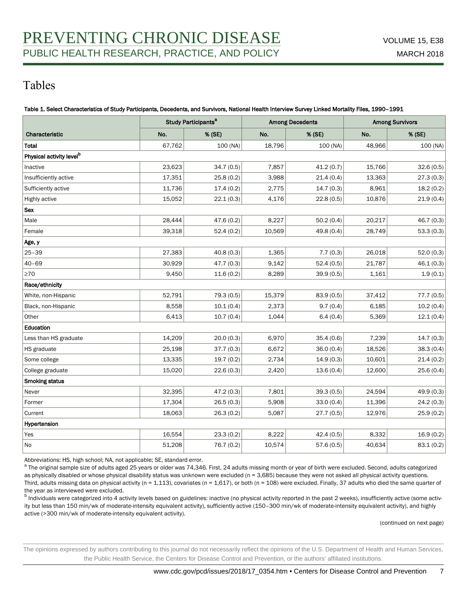# Tables

| Table 1. Select Characteristics of Study Participants, Decedents, and Survivors, National Health Interview Survey Linked Mortality Files, 1990-1991 |  |  |  |
|-----------------------------------------------------------------------------------------------------------------------------------------------------|--|--|--|
|                                                                                                                                                     |  |  |  |

|                                      | Study Participants <sup>a</sup> |            | <b>Among Decedents</b> |            | <b>Among Survivors</b> |            |
|--------------------------------------|---------------------------------|------------|------------------------|------------|------------------------|------------|
| Characteristic                       | No.                             | % (SE)     | No.                    | % (SE)     | No.                    | % (SE)     |
| Total                                | 67,762                          | 100 (NA)   | 18,796                 | 100 (NA)   | 48,966                 | 100 (NA)   |
| Physical activity level <sup>b</sup> |                                 |            |                        |            |                        |            |
| Inactive                             | 23,623                          | 34.7 (0.5) | 7,857                  | 41.2(0.7)  | 15,766                 | 32.6(0.5)  |
| Insufficiently active                | 17,351                          | 25.8(0.2)  | 3,988                  | 21.4(0.4)  | 13,363                 | 27.3(0.3)  |
| Sufficiently active                  | 11,736                          | 17.4(0.2)  | 2,775                  | 14.7(0.3)  | 8,961                  | 18.2(0.2)  |
| Highly active                        | 15,052                          | 22.1(0.3)  | 4,176                  | 22.8(0.5)  | 10,876                 | 21.9(0.4)  |
| <b>Sex</b>                           |                                 |            |                        |            |                        |            |
| Male                                 | 28,444                          | 47.6 (0.2) | 8,227                  | 50.2(0.4)  | 20,217                 | 46.7(0.3)  |
| Female                               | 39,318                          | 52.4(0.2)  | 10,569                 | 49.8 (0.4) | 28,749                 | 53.3(0.3)  |
| Age, y                               |                                 |            |                        |            |                        |            |
| $25 - 39$                            | 27,383                          | 40.8(0.3)  | 1,365                  | 7.7(0.3)   | 26,018                 | 52.0(0.3)  |
| $40 - 69$                            | 30,929                          | 47.7 (0.3) | 9,142                  | 52.4(0.5)  | 21,787                 | 46.1(0.3)  |
| $\geq 70$                            | 9,450                           | 11.6(0.2)  | 8,289                  | 39.9 (0.5) | 1,161                  | 1.9(0.1)   |
| Race/ethnicity                       |                                 |            |                        |            |                        |            |
| White, non-Hispanic                  | 52,791                          | 79.3 (0.5) | 15,379                 | 83.9 (0.5) | 37,412                 | 77.7 (0.5) |
| Black, non-Hispanic                  | 8,558                           | 10.1(0.4)  | 2,373                  | 9.7(0.4)   | 6,185                  | 10.2(0.4)  |
| Other                                | 6,413                           | 10.7(0.4)  | 1,044                  | 6.4(0.4)   | 5,369                  | 12.1(0.4)  |
| Education                            |                                 |            |                        |            |                        |            |
| Less than HS graduate                | 14,209                          | 20.0(0.3)  | 6,970                  | 35.4(0.6)  | 7,239                  | 14.7(0.3)  |
| HS graduate                          | 25,198                          | 37.7(0.3)  | 6,672                  | 36.0(0.4)  | 18,526                 | 38.3(0.4)  |
| Some college                         | 13,335                          | 19.7(0.2)  | 2,734                  | 14.9(0.3)  | 10,601                 | 21.4(0.2)  |
| College graduate                     | 15,020                          | 22.6(0.3)  | 2,420                  | 13.6(0.4)  | 12,600                 | 25.6(0.4)  |
| <b>Smoking status</b>                |                                 |            |                        |            |                        |            |
| Never                                | 32,395                          | 47.2(0.3)  | 7,801                  | 39.3(0.5)  | 24,594                 | 49.9(0.3)  |
| Former                               | 17,304                          | 26.5(0.3)  | 5,908                  | 33.0(0.4)  | 11,396                 | 24.2(0.3)  |
| Current                              | 18,063                          | 26.3(0.2)  | 5,087                  | 27.7(0.5)  | 12,976                 | 25.9 (0.2) |
| Hypertension                         |                                 |            |                        |            |                        |            |
| Yes                                  | 16,554                          | 23.3(0.2)  | 8,222                  | 42.4(0.5)  | 8,332                  | 16.9(0.2)  |
| No                                   | 51,208                          | 76.7 (0.2) | 10,574                 | 57.6(0.5)  | 40,634                 | 83.1(0.2)  |

Abbreviations: HS, high school; NA, not applicable; SE, standard error.

<sup>a</sup> The original sample size of adults aged 25 years or older was 74,346. First, 24 adults missing month or year of birth were excluded. Second, adults categorized as physically disabled or whose physical disability status was unknown were excluded (n = 3,685) because they were not asked all physical activity questions. Third, adults missing data on physical activity (n = 1,113), covariates (n = 1,617), or both (n = 108) were excluded. Finally, 37 adults who died the same quarter of the year as interviewed were excluded.

<sup>b</sup> Individuals were categorized into 4 activity levels based on guidelines: inactive (no physical activity reported in the past 2 weeks), insufficiently active (some activity but less than 150 min/wk of moderate-intensity equivalent activity), sufficiently active (150–300 min/wk of moderate-intensity equivalent activity), and highly active (>300 min/wk of moderate-intensity equivalent activity).

(continued on next page)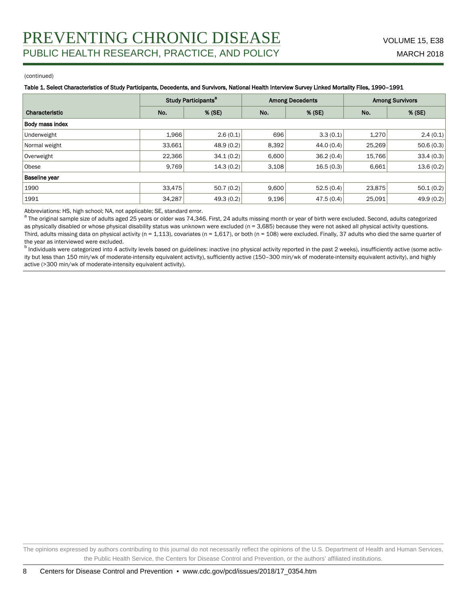#### (continued)

#### Table 1. Select Characteristics of Study Participants, Decedents, and Survivors, National Health Interview Survey Linked Mortality Files, 1990–1991

|                        | Study Participants <sup>a</sup> |           | <b>Among Decedents</b> |           | <b>Among Survivors</b> |            |
|------------------------|---------------------------------|-----------|------------------------|-----------|------------------------|------------|
| Characteristic         | No.                             | % (SE)    | No.                    | % (SE)    | No.                    | % (SE)     |
| <b>Body mass index</b> |                                 |           |                        |           |                        |            |
| Underweight            | 1,966                           | 2.6(0.1)  | 696                    | 3.3(0.1)  | 1,270                  | 2.4(0.1)   |
| Normal weight          | 33,661                          | 48.9(0.2) | 8,392                  | 44.0(0.4) | 25,269                 | 50.6(0.3)  |
| Overweight             | 22,366                          | 34.1(0.2) | 6,600                  | 36.2(0.4) | 15,766                 | 33.4(0.3)  |
| Obese                  | 9,769                           | 14.3(0.2) | 3,108                  | 16.5(0.3) | 6,661                  | 13.6(0.2)  |
| <b>Baseline year</b>   |                                 |           |                        |           |                        |            |
| 1990                   | 33,475                          | 50.7(0.2) | 9,600                  | 52.5(0.4) | 23,875                 | 50.1(0.2)  |
| 1991                   | 34,287                          | 49.3(0.2) | 9,196                  | 47.5(0.4) | 25,091                 | 49.9 (0.2) |

Abbreviations: HS, high school; NA, not applicable; SE, standard error.

<sup>a</sup> The original sample size of adults aged 25 years or older was 74,346. First, 24 adults missing month or year of birth were excluded. Second, adults categorized as physically disabled or whose physical disability status was unknown were excluded (n = 3,685) because they were not asked all physical activity questions. Third, adults missing data on physical activity (n = 1,113), covariates (n = 1,617), or both (n = 108) were excluded. Finally, 37 adults who died the same quarter of the year as interviewed were excluded.

<sup>b</sup> Individuals were categorized into 4 activity levels based on guidelines: inactive (no physical activity reported in the past 2 weeks), insufficiently active (some activity but less than 150 min/wk of moderate-intensity equivalent activity), sufficiently active (150–300 min/wk of moderate-intensity equivalent activity), and highly active (>300 min/wk of moderate-intensity equivalent activity).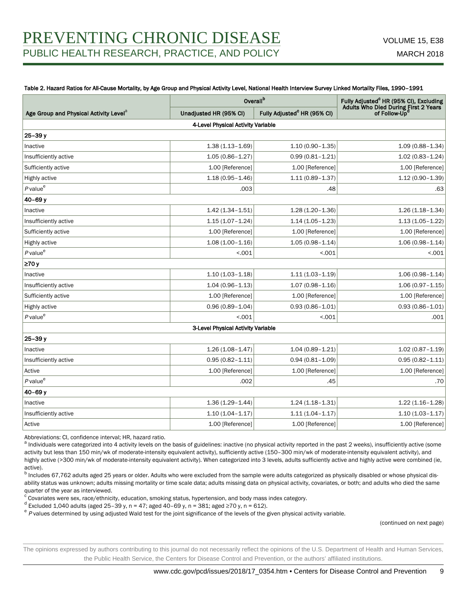#### Table 2. Hazard Ratios for All-Cause Mortality, by Age Group and Physical Activity Level, National Health Interview Survey Linked Mortality Files, 1990–1991

|                                                    | Overall <sup>b</sup>               | Fully Adjusted <sup>c</sup> HR (95% CI), Excluding |                                                              |  |
|----------------------------------------------------|------------------------------------|----------------------------------------------------|--------------------------------------------------------------|--|
| Age Group and Physical Activity Level <sup>a</sup> | Unadjusted HR (95% CI)             | Fully Adjusted <sup>c</sup> HR (95% CI)            | <b>Adults Who Died During First 2 Years</b><br>of Follow-Up' |  |
|                                                    | 4-Level Physical Activity Variable |                                                    |                                                              |  |
| 25-39 y                                            |                                    |                                                    |                                                              |  |
| Inactive                                           | $1.38(1.13 - 1.69)$                | $1.10(0.90 - 1.35)$                                | $1.09(0.88 - 1.34)$                                          |  |
| Insufficiently active                              | $1.05(0.86 - 1.27)$                | $0.99(0.81 - 1.21)$                                | $1.02(0.83 - 1.24)$                                          |  |
| Sufficiently active                                | 1.00 [Reference]                   | 1.00 [Reference]                                   | 1.00 [Reference]                                             |  |
| Highly active                                      | $1.18(0.95 - 1.46)$                | $1.11(0.89 - 1.37)$                                | $1.12(0.90 - 1.39)$                                          |  |
| $P$ value $^e$                                     | .003                               | .48                                                | .63                                                          |  |
| $40 - 69y$                                         |                                    |                                                    |                                                              |  |
| Inactive                                           | $1.42(1.34 - 1.51)$                | $1.28(1.20 - 1.36)$                                | $1.26(1.18 - 1.34)$                                          |  |
| Insufficiently active                              | $1.15(1.07 - 1.24)$                | $1.14(1.05 - 1.23)$                                | $1.13(1.05 - 1.22)$                                          |  |
| Sufficiently active                                | 1.00 [Reference]                   | 1.00 [Reference]                                   | 1.00 [Reference]                                             |  |
| Highly active                                      | $1.08(1.00 - 1.16)$                | $1.05(0.98 - 1.14)$                                | $1.06(0.98 - 1.14)$                                          |  |
| $P$ value $e^e$                                    | < .001                             | < .001                                             | < .001                                                       |  |
| 270y                                               |                                    |                                                    |                                                              |  |
| Inactive                                           | $1.10(1.03 - 1.18)$                | $1.11(1.03 - 1.19)$                                | $1.06(0.98 - 1.14)$                                          |  |
| Insufficiently active                              | $1.04(0.96 - 1.13)$                | $1.07(0.98 - 1.16)$                                | $1.06(0.97 - 1.15)$                                          |  |
| Sufficiently active                                | 1.00 [Reference]                   | 1.00 [Reference]                                   | 1.00 [Reference]                                             |  |
| Highly active                                      | $0.96(0.89 - 1.04)$                | $0.93(0.86 - 1.01)$                                | $0.93(0.86 - 1.01)$                                          |  |
| $P$ value $^e$                                     | < .001                             | < .001                                             | .001                                                         |  |
|                                                    | 3-Level Physical Activity Variable |                                                    |                                                              |  |
| $25 - 39y$                                         |                                    |                                                    |                                                              |  |
| Inactive                                           | $1.26(1.08 - 1.47)$                | $1.04(0.89 - 1.21)$                                | $1.02(0.87 - 1.19)$                                          |  |
| Insufficiently active                              | $0.95(0.82 - 1.11)$                | $0.94(0.81 - 1.09)$                                | $0.95(0.82 - 1.11)$                                          |  |
| Active                                             | 1.00 [Reference]                   | 1.00 [Reference]                                   | 1.00 [Reference]                                             |  |
| $P$ value $e$ <sup>e</sup>                         | .002                               | .45                                                | .70                                                          |  |
| 40-69 y                                            |                                    |                                                    |                                                              |  |
| Inactive                                           | $1.36(1.29 - 1.44)$                | $1.24(1.18 - 1.31)$                                | $1.22(1.16 - 1.28)$                                          |  |
| Insufficiently active                              | $1.10(1.04 - 1.17)$                | $1.11(1.04 - 1.17)$                                | $1.10(1.03 - 1.17)$                                          |  |
| Active                                             | 1.00 [Reference]                   | 1.00 [Reference]                                   | 1.00 [Reference]                                             |  |

Abbreviations: CI, confidence interval; HR, hazard ratio.

<sup>a</sup> Individuals were categorized into 4 activity levels on the basis of guidelines: inactive (no physical activity reported in the past 2 weeks), insufficiently active (some activity but less than 150 min/wk of moderate-intensity equivalent activity), sufficiently active (150–300 min/wk of moderate-intensity equivalent activity), and highly active (>300 min/wk of moderate-intensity equivalent activity). When categorized into 3 levels, adults sufficiently active and highly active were combined (ie, active).

<sup>b</sup> Includes 67,762 adults aged 25 years or older. Adults who were excluded from the sample were adults categorized as physically disabled or whose physical disability status was unknown; adults missing mortality or time scale data; adults missing data on physical activity, covariates, or both; and adults who died the same quarter of the year as interviewed.

 $^{\rm c}$  Covariates were sex, race/ethnicity, education, smoking status, hypertension, and body mass index category.

<sup>d</sup> Excluded 1,040 adults (aged 25-39 y, n = 47; aged 40-69 y, n = 381; aged ≥70 y, n = 612).

<sup>e</sup> P values determined by using adjusted Wald test for the joint significance of the levels of the given physical activity variable.

(continued on next page)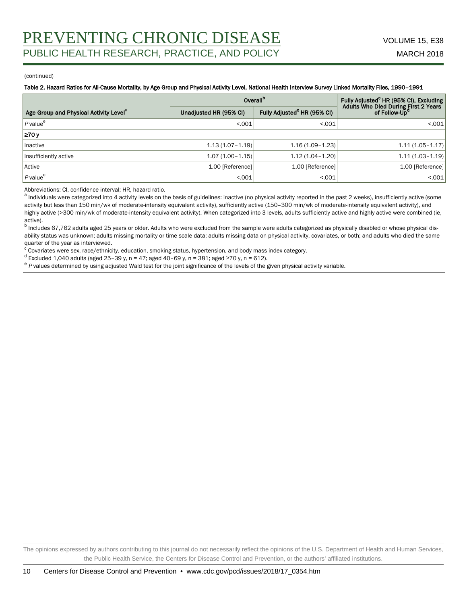#### (continued)

#### Table 2. Hazard Ratios for All-Cause Mortality, by Age Group and Physical Activity Level, National Health Interview Survey Linked Mortality Files, 1990–1991

|                                                    | Overall <sup>p</sup>   | Fully Adjusted <sup>c</sup> HR (95% CI), Excluding |                                                                   |  |  |  |
|----------------------------------------------------|------------------------|----------------------------------------------------|-------------------------------------------------------------------|--|--|--|
| Age Group and Physical Activity Level <sup>a</sup> | Unadjusted HR (95% CI) | Fully Adjusted <sup>c</sup> HR (95% CI)            | Adults Who Died During First 2 Years<br>of Follow-Up <sup>d</sup> |  |  |  |
| $ P$ value <sup>e</sup>                            | < 0.001                | < .001                                             | < .001                                                            |  |  |  |
| ∣≥70 y                                             |                        |                                                    |                                                                   |  |  |  |
| Inactive                                           | $1.13(1.07 - 1.19)$    | $1.16(1.09 - 1.23)$                                | $1.11(1.05 - 1.17)$                                               |  |  |  |
| Insufficiently active                              | $1.07(1.00 - 1.15)$    | $1.12(1.04 - 1.20)$                                | $1.11(1.03 - 1.19)$                                               |  |  |  |
| Active                                             | 1.00 [Reference]       | 1.00 [Reference]                                   | 1.00 [Reference]                                                  |  |  |  |
| $P$ value $^e$                                     | < 0.001                | < .001                                             | < .001                                                            |  |  |  |

Abbreviations: CI, confidence interval; HR, hazard ratio.

<sup>a</sup> Individuals were categorized into 4 activity levels on the basis of guidelines: inactive (no physical activity reported in the past 2 weeks), insufficiently active (some activity but less than 150 min/wk of moderate-intensity equivalent activity), sufficiently active (150–300 min/wk of moderate-intensity equivalent activity), and highly active (>300 min/wk of moderate-intensity equivalent activity). When categorized into 3 levels, adults sufficiently active and highly active were combined (ie, active).

<sup>b</sup> Includes 67,762 adults aged 25 years or older. Adults who were excluded from the sample were adults categorized as physically disabled or whose physical disability status was unknown; adults missing mortality or time scale data; adults missing data on physical activity, covariates, or both; and adults who died the same quarter of the year as interviewed.

 $^{\rm c}$  Covariates were sex, race/ethnicity, education, smoking status, hypertension, and body mass index category.

<sup>d</sup> Excluded 1,040 adults (aged 25-39 y, n = 47; aged 40-69 y, n = 381; aged ≥70 y, n = 612).

<sup>e</sup> P values determined by using adjusted Wald test for the joint significance of the levels of the given physical activity variable.